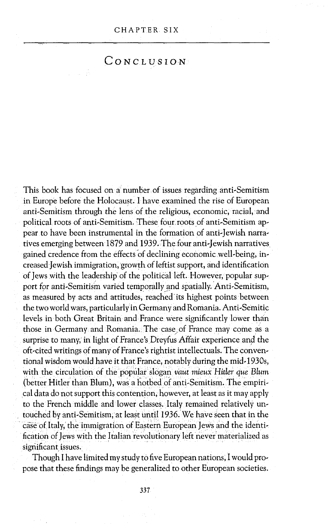## CONCLUSION

This book has focused on a number of issues regarding anti-Semitism in Europe before the Holocaust. I have examined the rise of European anti-Semitism through the lens of the religious, economic, racial, and political roots of anti-Semitism. These four roots of anti-Semitism appear to have been instrumental in the formation of anti-Jewish narratives emerging between 1879 and 1939. The four anti-Jewish narratives gained credence from the effects of declining economic well-being, increased Jewish immigration, growth of leftist support, and identification of Jews with the leadership of the political left. However, popular support for anti-Semitism varied temporally and spatially. Anti-Semitism, as measured by acts and attitudes, reached its highest points between the two world wars, particularly in Germany and Romania. Anti-Semitic levels in both Great Britain and France were significantly lower than those in Germany and Romania. The case of France may come as a surprise to many, in light of France's Dreyfus Affair experience and the oft-cited writings of many of France's rightist intellectuals. The conventional wisdom would have it that France, notably during the mid-1930s, with the circulation of the popular slogan *vaut mieux Hitler que Blum* (better Hitler than Blum), was a hotbed of anti-Semitism. The empirical data do not support this contention, however, at least as it may apply to the French middle and lower classes. Italy remained relatively untouched by anti-Semitism, at least until 1936. We have seen that in the case of Italy, the immigration of Eastern European Jews and the identification of Jews with the Italian revolutionary left never materialized as significant issues.

Though I have limited my study to five European nations, I would propose that these findings may be generalized to other European societies.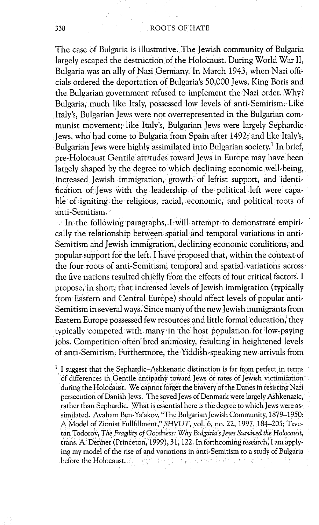The case of Bulgaria is illustrative. The Jewish community of Bulgaria largely escaped the destruction of the Holocaust. During World War II, Bulgaria was an ally of Nazi Germany. In March 1943, when Nazi officials ordered the deportation of Bulgaria's 50,000 Jews, King Boris and the Bulgarian government refused to implement the Nazi order. Why? Bulgaria, much like Italy, possessed low levels of anti-Semitism. Like Italy's, Bulgarian Jews were not overrepresented in the Bulgarian communist movement; like Italy's, Bulgarian Jews were largely Sephardic Jews, who had come to Bulgaria from Spain after 1492; and like Italy's, Bulgarian Jews were highly assimilated into Bulgarian society.<sup>1</sup> In brief, pre-Holocaust Gentile attitudes toward Jews in Europe may have been largely shaped by the degree to which declining economic well-being, increased Jewish immigration, growth of leftist support, and identification of Jews with the leadership of the political left were capable of igniting the religious, racial, economic, and political roots of anti-Semitism.

In the following paragraphs, I will attempt to demonstrate empirically the relationship between spatial and temporal variations in anti-Semitism and Jewish immigration, declining economic conditions, and popular support for the left. I have proposed that, within the context of the four roots of anti-Semitism; temporal and spatial variations across the five nations resulted chiefly from the effects of four critical factors. I propose, in short, that increased levels of Jewish immigration (typically from Eastern and Central Europe) should affect levels of popular anti-Semitism in several ways. Since many of the new Jewish immigrants from Eastern Europe possessed few resources and little formal education, they typically competed with many in the host population for low-paying jobs. Competition often bred animosity, resulting in heightened levels of anti-Semitism. Furthermore, the Yiddish-speaking new arrivals from

<sup>1</sup> I suggest that the Sephardic-Ashkenazic distinction is far from perfect in terms of differences in Gentile antipathy toward Jews or rates of Jewish victimization during the Holocaust. We cannot forget the bravery of the Danes in resisting Nazi persecution of Danish Jews. The saved Jews of Denmark were largely Ashkenazic, rather than Sephardic. What is essential here is the degree to which Jews were assimilated. Avaham Ben-Ya'akov, "The Bulgarian Jewish Community, 1879-1950: A Model of Zionist Fullfillment," *SHVUT,* vol. 6, no. 22, 1997, 184-205; Tzvetan Todorov, *The Fragility of Goodness: Why Bulgaria's Jews Survived the Holocaust,* trans. A. Denner (Princeton, 1999), 31, 122. In forthcoming research, I am applying my model of the rise of and variations in anti-Semitism to a study of Bulgaria before the Holocaust. : 70 percent from the policies of the second second the set of the second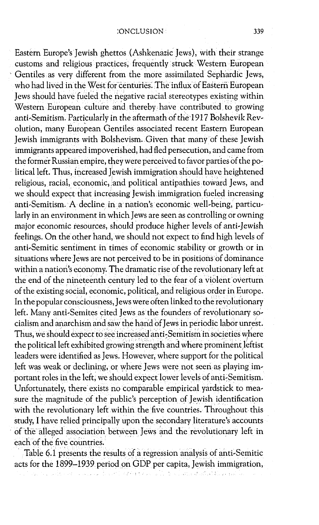Eastern Europe's Jewish ghettos (Ashkenazic Jews), with their strange customs and religious practices, frequently struck Western European Gentiles as very different from the more assimilated Sephardic Jews, who had lived in the West for centuries. The influx of Eastern European Jews should have fueled the negative racial stereotypes existing within Western European culture and thereby have contributed to growing anti-Semitism. Particularly in the aftermath of the l917 Bolshevik Revolution, many European Gentiles associated recent Eastern European Jewish immigrants with Bolshevism. Given that many of these Jewish immigrants appeared impoverished, had fled persecution, and came from the former Russian empire, they were perceived to favor parties of the political left. Thus, increased Jewish immigration should have heightened religious, racial, economic, and political antipathies toward Jews, and we should expect that increasing Jewish immigration fueled increasing anti-Semitism. A decline in a nation's economic well-being, particularly in an environment in which Jews are seen as controlling or owning major economic resources, should produce higher levels of anti-Jewish feelings. On the other hand, we should not expect to find high levels of anti-Semitic sentiment in times of economic stability or growth or in situations where Jews are not perceived to be in positions of dominance within a nation's economy. The dramatic rise of the revolutionary left at the end of the nineteenth century led to the fear of a violent overturn of the existing social, economic, political, and religious order in Europe. In the popular consciousness, Jews were often linked to the revolutionary left. Many anti-Semites cited Jews as the founders of revolutionary socialism and anarchism and saw the hand of Jews in periodic labor unrest. Thus, we should expect to see increased anti-Semitism in societies where the political left exhibited growing strength and where prominent leftist leaders were identified as Jews. However, where support for the political left was weak or declining, or where Jews were not seen as playing important roles in the left, we should expect lower levels of anti-Semitism. Unfortunately, there exists no comparable empirical yardstick to measure the magnitude of the public's perception of Jewish identification with the revolutionary left within the five countries. Throughout this study, I have relied principally upon the secondary literature's accounts of the alleged association between Jews and the revolutionary left in each of the five countries.

Table 6.1 presents the results of a regression analysis of anti-Semitic acts for the 1899-1939 period on GDP per capita, Jewish immigration,

a comparativa esta extensión de la facilidad de la comparativa de la compa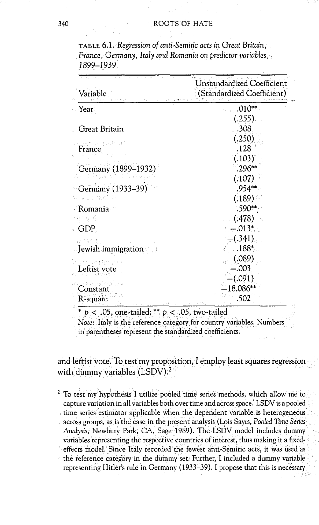## 340 ROOTS OF HATE

| Variable            | Unstandardized Coefficient<br>(Standardized Coefficient) |  |
|---------------------|----------------------------------------------------------|--|
| Year                | .010*                                                    |  |
|                     | (.255)                                                   |  |
| Great Britain       | .308                                                     |  |
|                     | (.250)                                                   |  |
| France              | .128                                                     |  |
|                     | (.103)                                                   |  |
| Germany (1899-1932) | $.296**$                                                 |  |
|                     | (.107)                                                   |  |
| Germany (1933-39)   | $.954**$                                                 |  |
| n Galleri           | (.189)                                                   |  |
| - Romania -         | $.590**$                                                 |  |
| g Valenda           | (.478)                                                   |  |
| $-$ GDP.            | $-.013*$                                                 |  |
|                     | (.341)                                                   |  |
| Jewish immigration  | $.188*$                                                  |  |
|                     | (.089)                                                   |  |
| Leftist vote        | $-.003$                                                  |  |
|                     | $-(.091)$                                                |  |
| Jonstant            | 18.086**                                                 |  |
| R-square            | .502                                                     |  |

t a b l e 6.1. *Regression of anti-Semitic acts in Great Britain, France, Germany, Italy and Romania on predictor variables, 1899-1939*

\* *p* < .0 5 ,one-tailed; *\* \* p <* .05, two-tailed

*Note:* Italy is the reference category for country variables. Numbers in parentheses represent the standardized coefficients.

and leftist vote. To test my proposition, I employ least squares regression with dummy variables  $(LSDV).$ <sup>2</sup>

<sup>2</sup> To test my hypothesis I utilize pooled time series methods, which allow me to capture variation in all variables both over time and across space. LSDV is a pooled time series estimator applicable when the dependent variable is heterogeneous across groups, as is the case in the present analysis (Lois Sayrs, *Pooled Time Series* Analysis, Newbury Park, CA, Sage 1989). The LSDV model includes dummy variables representing the respective countries of interest, thus making it a fixedeffects model. Since Italy recorded the fewest anti-Semitic acts, it was used as the reference category in the dummy set. Further, I included a dummy variable representing Hitlèr's rule in Germany (1933-39). I propose that this is necessary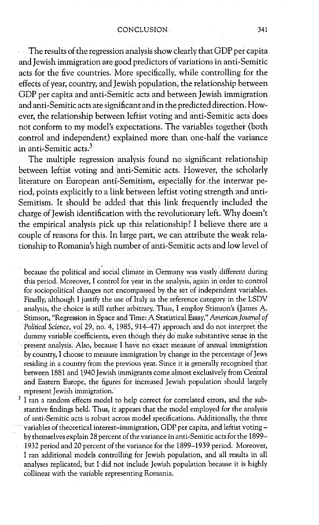The results of the regression analysis show clearly that GDP per capita and Jewish immigration are good predictors of variations in anti-Semitic acts for the five countries. More specifically, while controlling for the effects of year, country, and Jewish population, the relationship between GDP per capita and anti-Semitic acts and between Jewish immigration and anti-Semitic acts are significant and in the predicted direction. However, the relationship between leftist voting and anti-Semitic acts does not conform to my model's expectations. The variables together (both control and independent) explained more than one-half the variance in anti-Semitic acts.3

The multiple regression analysis found no significant relationship between leftist voting and anti-Semitic acts. However, the scholarly literature on European anti-Semitism, especially for ; the interwar period, points explicitly to a link between leftist voting strength and anti-Semitism. It should be added that this link frequently included the charge of Jewish identification with the revolutionary left. Why doesn't the empirical analysis pick up this relationship? I believe there are a couple of reasons for this. In large part, we can attribute the weak relationship to Romania's high number of anti-Semitic acts and low level of

because the political and social climate in Germany was vastly different during this period. Moreover, I control for year in the analysis, again in order to control for sociopolitical changes not encompassed by-the set of independent variables. Finally, although I justify the use of Italy as the reference category in the LSDV analysis, the choice is still rather arbitrary. Thus, I employ Stimson's (James A. Stimson, "Regression in Space and Time: A Statistical Essay," *American Journal of Political Science,* vol 29, no. 4, 1985, 914—47) approach and do not interpret the dummy variable coefficients, even though they do'make substantive sense in the ' present analysis. Also, because I have no exact measure of annual immigration by country, I choose to measure immigration by change in the percentage of Jews residing in a country from the previous year. Since it is generally recognized that between 1881 and 1940 Jewish immigrants come almost exclusively from Central and Eastern Europe, the figures for increased Jewish population should largely represent Jewish immigration.'

<sup>3</sup> I ran a random effects model to help correct for correlated errors, and the substantive findings held. Thus, it appears that the model employed for the analysis of anti-Semitic acts is robust across model specifications. Additionally, the three variables of theoretical interest-immigration, GDP per capita, and leftist voting by themselves explain 28 percent of the variance in anti-Semitic acts for the 1899— 1932 period and 20 percent of the variance for the 1899-1939 period. Moreover, I ran additional models controlling for Jewish population, and all results in all analyses replicated, but I did not include Jewish population because it is highly collinear with the variable representing Romania.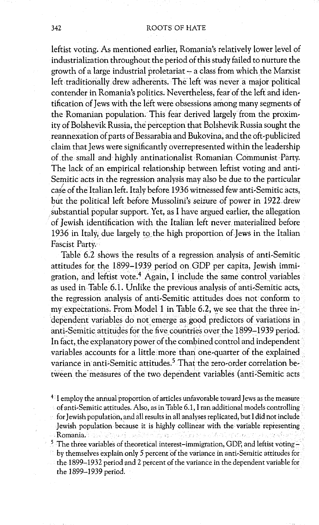leftist voting. As mentioned earlier, Romania's relatively lower level of industrialization throughout the period of this study failed to nurture the growth of a large industrial proletariat — a class from which the Marxist left traditionally drew adherents. The left was never a major political contender in Romania's politics. Nevertheless, fear of the left and identification of Jews with the left were obsessions among many segments of the Romanian population. This fear derived largely from the proximity of Bolshevik Russia, the perception that Bolshevik Russia sought the reannexation of parts of Bessarabia and Bukovina, and the oft-publicized claim that Jews were significantly overrepresented within the leadership of the small and highly antinationalist Romanian Communist Party. The lack of an empirical relationship between leftist voting and anti-Semitic acts in the regression analysis may also be due to the particular case of the Italian left. Italy before 1936 witnessed few anti-Semitic acts, but the political left before Mussolini's seizure of power in 1922 drew substantial popular support. Yet, as I have argued earlier, the allegation of Jewish identification with the Italian left never materialized before 1936 in Italy, due largely to, the high proportion of Jews in the Italian Fascist Party.

Table 6.2 shows the results of a regression analysis of anti-Semitic attitudes for the 1899-1939 period on GDP per capita, Jewish immigration, and leftist vote.<sup>4</sup> Again, I include the same control variables as used in Table 6.1. Unlike the previous analysis of anti-Semitic acts, the regression analysis of anti-Semitic attitudes does not conform to my expectations. From Model 1 in Table 6.2, we see that the three independent variables do not emerge as good predictors of variations in anti-Semitic attitudes for the five countries over the 1899-1939 period. In fact, the explanatory power of the combined control and independent variables accounts for a little more than one-quarter of the explained variance in anti-Semitic attitudes.<sup>5</sup> That the zero-order correlation between the measures of the two dependent variables (anti-Semitic acts

<sup>4</sup> I employ the annual proportion of articles unfavorable toward Jews as the measure  $\sim$  of anti-Semitic attitudes. Also, as in Table 6.1, I ran additional models controlling for Jewish population, and all results in all analyses replicated, but I did not include Jewish population because it is highly collinear with the variable representing  $\sim$  Romania. , The set of the set of the set of the set of the set of the set of the set of  $u$ 

 $^5$  The three variables of theoretical interest-immigration, GDP, and leftist votingby themselves explain only 5 percent of the variance in anti-Semitic attitudes for the 1899-1932 period and 2 percent of the variance in the dependent variable for the 1899-1939 period.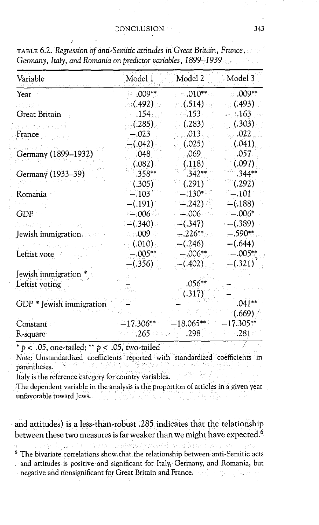| Variable                 | Model 1     | Model 2   | Model 3    |
|--------------------------|-------------|-----------|------------|
| Year                     | $0.009***$  | $.010**$  | $.009**$   |
|                          | (.492)      | (.514)    | (.493)     |
| Great Britain            | .154        | .153      | .163       |
|                          | (.285)      | (.283)    | (.303)     |
| France                   | $-.023$     | .013      | .022       |
|                          | $-(.042)$   | (.025)    | (.041)     |
| Germany (1899-1932)      | .048        | .069      | .057       |
|                          | (.082)      | (.118)    | (.097)     |
| Germany (1933-39)        | $.358**$    | $.342**$  | $.344**$   |
|                          | (.305)      | (.291)    | (.292)     |
| Romania                  | $-.103$     | $-130$ *  | $-.101$    |
|                          | $-(.191)$   | $-0.242$  | $-(.188)$  |
| GDP                      | $-.006$     | $-.006$   | --.006*    |
|                          | $-$ (:340)  | $-(.347)$ | $-$ (.389) |
| Jewish immigration.      | .009        | $-.226**$ | $-.590**$  |
|                          | (.010)      | $-(.246)$ | $-(.644)$  |
| Leftist vote             | $-.005**$   | $-.006**$ | $-.005$ ** |
|                          | $-(.356)$   | $-(.402)$ | $-(.321)$  |
| Jewish immigration *     |             |           |            |
| Leftist voting           |             | $.056**$  |            |
|                          |             | (.317)    | .041**     |
| GDP * Jewish immigration |             |           | (.669)     |
| Constant                 | $-17.306**$ | 18.065**  | 17.305**   |
|                          | .265        | .298      | .281       |
| R-square                 |             |           |            |

t a b l e 6.2. *Regression of anti-Semitic attitudes in Great Britain, France, Germany, Italy, and Romania on predictor variables, 1899-1939*

*\* p <* .05, one-tailed; *\*\* p <* .05, two-tailed 7

*Note:* Unstandardized coefficients reported with standardized coefficients in parentheses.

Italy is the reference category for country variables.

The dependent variable in the analysis is the proportion of articles in a given year unfavorable toward Jews. ,

and attitudes) is a less-than-robust .285 indicates that the relationship between these two measures is far weaker than we might have expected.<sup>6</sup>

*6* The bivariate correlations show that the relationship between anti-Semitic acts , and attitudes is positive and significant for Italy, Germany, and Romania, but negative and nonsignificant for Great Britain and France.

Teknologia alektrista muuaalaksi olevalta ka ka Eleanologia voola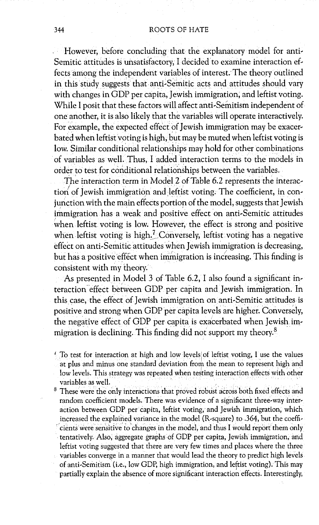## 344 ROOTS OF HATE

. However, before concluding that the explanatory model for anti-Semitic attitudes is unsatisfactory, I decided to examine interaction effects among the independent variables of interest. The theory outlined in this study suggests that anti-Semitic acts and attitudes should vary with changes in GDP per capita, Jewish immigration, and leftist voting. While I posit that these factors will affect anti-Semitism independent of one another, it is also likely that the variables will operate interactively. For example, the expected effect of Jewish immigration may be exacerbated when leftist voting is high, but may be muted when leftist voting is low. Similar conditional relationships may hold for other combinations of variables as well. Thus, I added interaction terms to the models in order to test for conditional relationships between the variables.

The interaction term in Model 2 of Table 6.2 represents the interaction of Jewish immigration and leftist voting. The coefficient, in conjunction with the main effects portion of the model, suggests that Jewish immigration has a weak and positive effect on anti-Semitic attitudes when leftist voting is low. However, the effect is strong and positive when leftist voting is high.<sup>7</sup> Conversely, leftist voting has a negative effect on anti-Semitic attitudes when Jewish immigration is decreasing, but has a positive effect when immigration is increasing. This finding is consistent with my theory.

As presented in Model 3 of Table 6.2, I also found a significant interaction effect between GDP per capita and Jewish immigration. In this case, the effect of Jewish immigration on anti-Semitic attitudes is positive and strong when GDP per capita levels are higher. Conversely, the negative effect of GDP per capita is exacerbated when Jewish immigration is declining. This finding did not support my theory.<sup>8</sup>

 $\ell$  To test for interaction at high and low levels of leftist voting, I use the values at plus and minus one standard deviation from the mean to represent high and low levels. This strategy was repeated when testing interaction effects with other variables as well.

<sup>8</sup> These were the only interactions that proved robust across both fixed effects and random coefficient models. There was evidence of a significant three-way interaction between GDP per capita, leftist voting, and Jewish immigration, which increased the explained variance in the model (R-square) to .364, but the coefficients were sensitive to changes in the model, and thus I would report them only tentatively. Also, aggregate graphs of GDP per capita, Jewish immigration, and leftist voting suggested that there are very few times and places where the three variables converge in a manner that would lead the theory to predict high levels of anti-Semitism (i.e., low GDP, high immigration, and leftist voting). This may partially explain the absence of more significant interaction effects. Interestingly,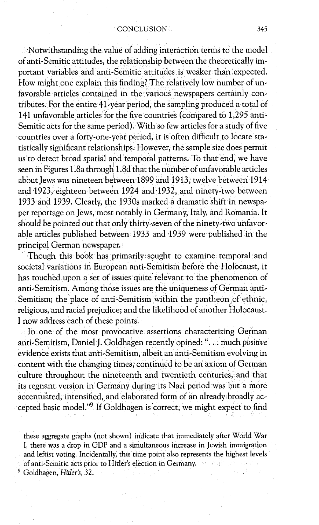Notwithstanding the value of adding interaction terms to the model of anti-Semitic attitudes, the relationship between the theoretically important variables and anti-Semitic attitudes is weaker than expected. How might one explain this finding? The relatively low number of unfavorable articles contained in the various newspapers certainly contributes. For the entire 41-year period, the sampling produced a total of 141 unfavorable articles for the five countries (compared to 1,295 anti-Semitic acts for the same period). With so few articles for a study of five countries over a forty-one-year period, it is often difficult to locate statistically significant relationships. However, the sample size does permit us to detect broad spatial and temporal patterns. To that end, we have seen in Figures 1.8a through 1.8d that the number of unfavorable articles about Jews was nineteen between 1899 and 1913, twelve between 1914 and 1923, eighteen between 1924 and 1932, and ninety-two between 1933 and 1939. Clearly, the 1930s marked a dramatic shift in newspaper reportage on Jews, most notably in Germany, Italy, and Romania. It should be pointed out that only thirty-seven of the ninety-two unfavorable articles published between 1933 and 1939 were published in the principal German newspaper.

Though this book has primarily sought to examine temporal and societal variations in European anti-Semitism before the Holocaust, it has touched upon a set of issues quite relevant to the phenomenon of anti-Semitism. Among those issues are the uniqueness of German anti-Semitism; the place of anti-Semitism within the pantheon of ethnic, religious, and racial prejudice; and the likelihood of another Holocaust. I now address each of these points.

In one of the most provocative assertions characterizing German anti-Semitism, Daniel J. Goldhagen recently opined: "... much *positive* evidence exists that anti-Semitism; albeit an anti-Semitism evolving in content with the changing times, continued to be an axiom of German culture throughout the nineteenth and twentieth centuries, and that its regnant version in Germany during its Nazi period was but a more accentuated, intensified, and elaborated form of an already broadly accepted basic model."<sup>9</sup> If Goldhagen is correct, we might expect to find

these aggregate graphs (not shown) indicate that immediately after World War I, there was a drop in GDP and a simultaneous increase in Jewish immigration and leftist voting. Incidentally, this time point also represents the highest levels of anti-Semitic acts prior to Hitler's election in Germany. *9* Goldhagen, *Hitler's,* 32.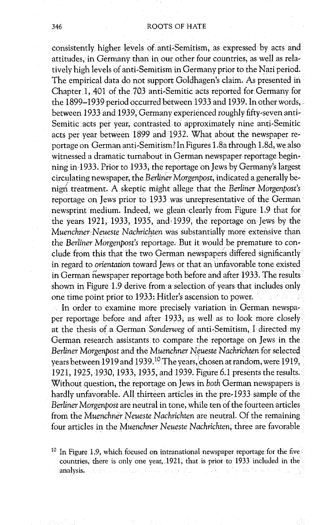## 346 ROOTS OF HATE

consistently higher levels of; anti-Semitism, as expressed by acts and attitudes, in Germany than in our other four countries, as well as relatively high levels of anti-Semitism in Germany prior to the Nazi period. The empirical data do not support Goldhagen's claim. As presented in Chapter; 1, 401 of the 703 anti-Semitic acts reported for Germany for the 1899-1939 period occurred between 1933 and 1939. In other words, between 1933 and 1939, Germany experienced roughly fifty-seven anti-Semitic acts per year, contrasted to approximately nine anti-Semitic acts per year between 1899 and 1932. W hat about the newspaper reportage on German anti-Semitism? In Figures 1.8a through 1.8d, we also witnessed a dramatic turnabout in German newspaper reportage beginning in 1933. Prior to 1933, the reportage on Jews by Germany's largest circulating newspaper, the *Berliner Morgenpost,* indicated a generally benign treatment. A skeptic might allege that the *Berliner* M*orgenpost's* reportage on Jews prior to 1933 was unrepresentative of the German newsprint medium. Indeed, we glean clearly from Figure 1.9 that for the years 1921, 1933, 1935, and 1939, the reportage on Jews by the *Muenchner: Neueste Nachrichten* was substantially more extensive than the *Berliner* M*orgenpost's* reportage. But it would be premature to conclude from this that the two German newspapers differed significantly in regard to *orientation* toward Jews or that an unfavorable tone existed in German newspaper reportage both before and after 1933. The results shown in Figure 1.9 derive from a selection of years that includes only one time point prior to 1933: Hitler's ascension to power.

In order to examine more precisely variation in German newspaper reportage before and after 1933, as well as to look more closely at the thesis of a German *Sonderweg* of anti-Semitism, I directed my German research assistants to compare the reportage on Jews in the *Berliner Morgenpost* and the M*uenchner Neueste Nachrichten* for selected years between 1919 and 1939.<sup>10</sup> The years, chosen at random, were 1919, 1921,1925,1930, 1933,1935, and 1939. Figure 6.1 presents the results. W ithout question, the reportage on Jews in *both* German newspapers is hardly unfavorable. All thirteen articles in the pre-1933 sample of the *Berliner Morgenpost* are neutral in tone, while ten of the fourteen articles from the *Muenchner Neueste Nachrichten* are neutral. Of the remaining four articles in the *Muenchner Neueste Nachrichten*, three are favorable

 $10$  In Figure 1.9, which focused on intranational newspaper reportage for the five countries, there is only one year, 1921, that is prior to 1933 included in the analysis. .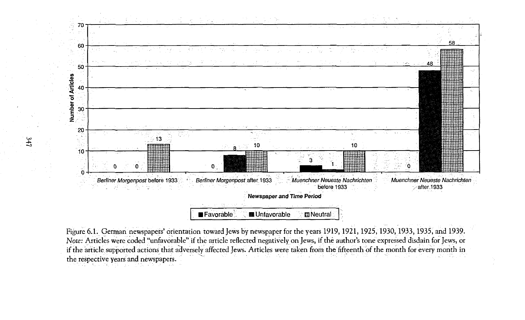

Figure 6.1. German newspapers' orientation toward Jews by newspaper for the years 1919,1921, 1925,1930,1933, 1935, and 1939. *Note:* Articles were coded "unfavorable" if the article reflected negatively on Jews, if thé author's tone expressed disdain for Jews, or if the article supported actions that adversely affected Jews. Articles were taken from the fifteenth of the month for every month in the respective years and newspapers.

347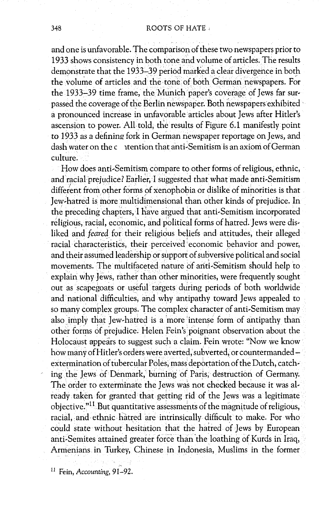and one is unfavorable. The comparison of these two newspapers prior to 1933 shows consistency in both tone and volume of articles. The results demonstrate that the 1933-39 period marked a clear divergence in both the volume of articles and the tone of both German newspapers. For the 1933-39 time frame, the Munich paper's coverage of Jews far surpassed the coverage of the Berlin newspaper. Both newspapers exhibited a pronounced increase in unfavorable articles about Jews after Hitler's ascension to power. All told, the results of Figure 6.1 manifestly point to 1933 as a defining fork in German newspaper reportage on Jews, and dash water on the c rtention that anti-Semitism is an axiom of German culture.

How does anti-Semitism compare to other forms of religious, ethnic, and racial prejudice? Earlier, I suggested that what made anti-Semitism different from other forms of xenophobia or dislike of minorities is that Jew-hatred is more multidimensional than other kinds of prejudice. In the preceding chapters, I have argued that anti-Semitism incorporated religious, racial, economic, and political forms of hatred. Jews were disliked and *feared* for their religious beliefs and attitudes, their alleged racial characteristics, their perceived economic behavior and power, and their assumed leadership or support of subversive political and social movements. The multifaceted nature of anti-Semitism should help to explain why Jews, rather than other minorities, were frequently sought out as scapegoats or useful targets during periods of both worldwide and national difficulties, and why antipathy toward Jews appealed to so many complex groups. The complex character of anti-Semitism may also imply that Jew-hatred is a more intense form of antipathy than other forms of prejudice. Helen Fein's poignant observation about the Holocaust appears to suggest such a claim. Fein wrote: "Now we know how many of Hitler's orders were averted, subverted, or countermanded extermination of tubercular Poles, mass deportation of the Dutch, catching the Jews of Denmark, burning of Paris, destruction of Germany. The order to exterminate the Jews was not checked because it was already taken for granted that getting rid of the Jews was a legitimate objective."11 But quantitative assessments of the magnitude of religious, racial, and ethnic hatred are intrinsically difficult to make. For who could state without hesitation that the hatred of Jews by European anti-Semites attained greater force than the loathing of Kurds in Iraq, Armenians in Turkey, Chinese in Indonesia, Muslims in the former

11 Fein, *Accounting,* 91-92.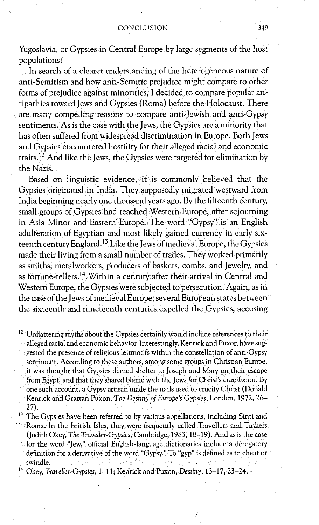Yugoslavia, or Gypsies in Central Europe by large segments of the host populations?

In search of a clearer understanding of the heterogeneous nature of anti-Semitism and how anti-Semitic prejudice might compare to other forms of prejudice against minorities, I decided to compare popular antipathies toward Jews and Gypsies (Roma) before the Holocaust. There are many compelling reasons to compare anti-Jewish and anti-Gypsy sentiments. As is the case with the Jews, the Gypsies are a minority that has often suffered from widespread discrimination in Europe. Both Jews and Gypsies encountered hostility for their alleged racial and economic traits.<sup>12</sup> And like the Jews, the Gypsies were targeted for elimination by the Nazis.

Based on linguistic evidence, it is commonly believed that the Gypsies originated in India., They supposedly migrated westward from India beginning nearly one thousand years ago. By the fifteenth century, small groups of Gypsies had reached Western Europe, after sojourning in Asia Minor and Eastern Europe. The word "Gypsy" is an English adulteration of Egyptian and most likely gained currency in early sixteenth century England.13 Like the Jews of medieval Europe, the Gypsies made their living from a small number of trades. They worked primarily as smiths, metalworkers, producers of baskets, combs, and jewelry, and as fortune-tellers.14/Within a century after their arrival in Central and Western Europe, the Gypsies were subjected to persecution. Again, as in the case of the Jews of medieval Europe, several European states between the sixteenth and nineteenth centuries expelled the Gypsies, accusing

 $12$  Unflattering myths about the Gypsies certainly would include references to their alleged racial and economic behavior. Interestingly, Kenrick and Puxon have suggested the presence of religious leitmotifs within the constellation of anti-Gypsy sentiment. According to these authors, among some groups in Christian Europe, it was thought that Gypsies denied shelter to Joseph and Mary on their escape from Egypt, and that they shared blame with the Jews for Christ's crucifixion. By one such account, a Gypsy artisan made the nails used to crucify Christ (Donald Kenrick and Grattan Puxon, *The Destiny of Europe's Gypsies,* London, 1972, 26— 27).

<sup>13</sup> The Gypsies have been referred to by various appellations, including Sinti and ' Roma. In the British Isles, they were frequently called Travellers and Tinkers (Judith Okey, *The Traveller'Gypsies,* Cambridge, 1983,18-19). And as is the case ' for the word "Jew," official English-language dictionaries include a derogatory definition for a derivative of the word "Gypsy." To "gyp" is defined as to cheat or swindle.

14 Okey, *Traveller-Gypsies,* 1—11; Kenrick and Puxon, *Destiny,* 13-17, 23-24.